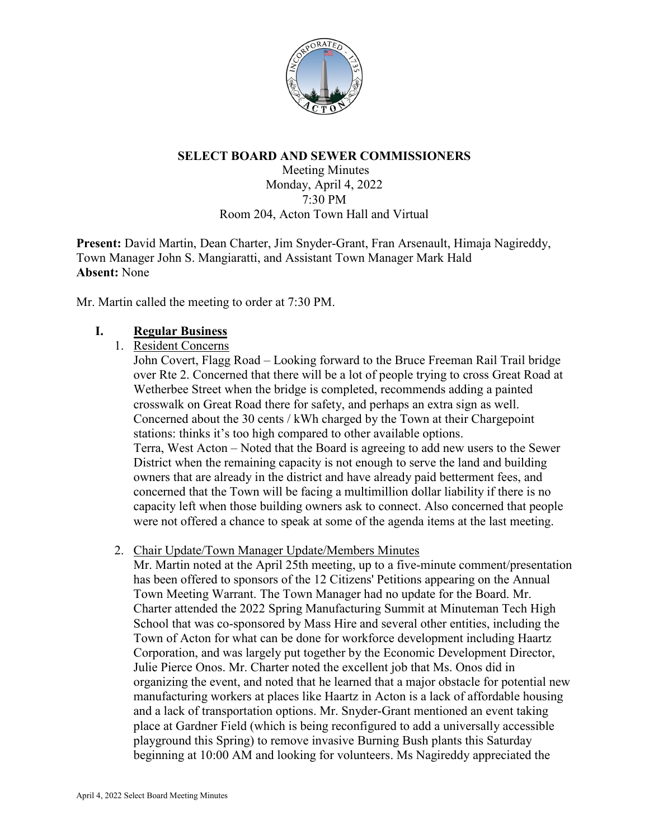

## **SELECT BOARD AND SEWER COMMISSIONERS**

Meeting Minutes Monday, April 4, 2022 7:30 PM Room 204, Acton Town Hall and Virtual

**Present:** David Martin, Dean Charter, Jim Snyder-Grant, Fran Arsenault, Himaja Nagireddy, Town Manager John S. Mangiaratti, and Assistant Town Manager Mark Hald **Absent:** None

Mr. Martin called the meeting to order at 7:30 PM.

## **I. Regular Business**

#### 1. Resident Concerns

John Covert, Flagg Road – Looking forward to the Bruce Freeman Rail Trail bridge over Rte 2. Concerned that there will be a lot of people trying to cross Great Road at Wetherbee Street when the bridge is completed, recommends adding a painted crosswalk on Great Road there for safety, and perhaps an extra sign as well. Concerned about the 30 cents / kWh charged by the Town at their Chargepoint stations: thinks it's too high compared to other available options. Terra, West Acton – Noted that the Board is agreeing to add new users to the Sewer District when the remaining capacity is not enough to serve the land and building owners that are already in the district and have already paid betterment fees, and concerned that the Town will be facing a multimillion dollar liability if there is no capacity left when those building owners ask to connect. Also concerned that people were not offered a chance to speak at some of the agenda items at the last meeting.

#### 2. Chair Update/Town Manager Update/Members Minutes

Mr. Martin noted at the April 25th meeting, up to a five-minute comment/presentation has been offered to sponsors of the 12 Citizens' Petitions appearing on the Annual Town Meeting Warrant. The Town Manager had no update for the Board. Mr. Charter attended the 2022 Spring Manufacturing Summit at Minuteman Tech High School that was co-sponsored by Mass Hire and several other entities, including the Town of Acton for what can be done for workforce development including Haartz Corporation, and was largely put together by the Economic Development Director, Julie Pierce Onos. Mr. Charter noted the excellent job that Ms. Onos did in organizing the event, and noted that he learned that a major obstacle for potential new manufacturing workers at places like Haartz in Acton is a lack of affordable housing and a lack of transportation options. Mr. Snyder-Grant mentioned an event taking place at Gardner Field (which is being reconfigured to add a universally accessible playground this Spring) to remove invasive Burning Bush plants this Saturday beginning at 10:00 AM and looking for volunteers. Ms Nagireddy appreciated the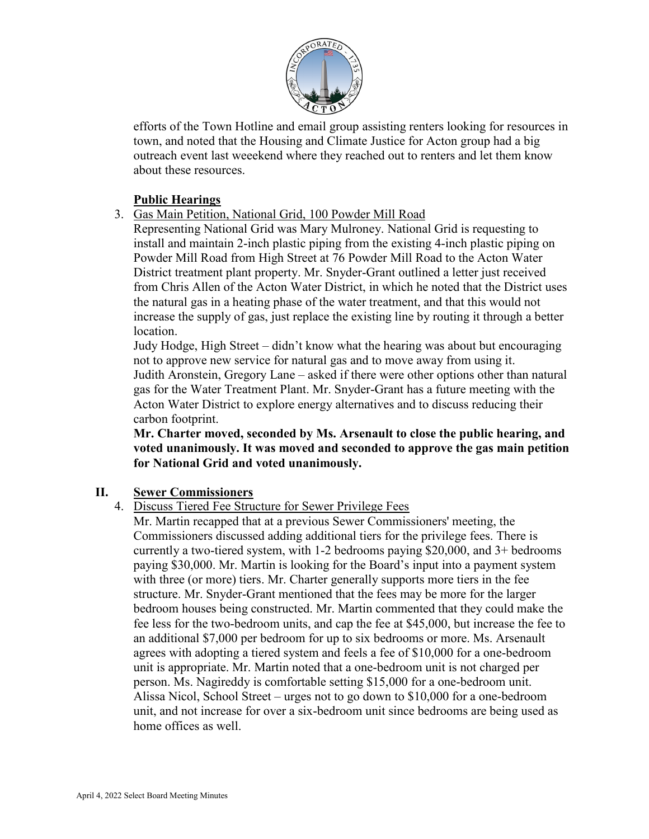

efforts of the Town Hotline and email group assisting renters looking for resources in town, and noted that the Housing and Climate Justice for Acton group had a big outreach event last weeekend where they reached out to renters and let them know about these resources.

# **Public Hearings**

- 3. Gas Main Petition, National Grid, 100 Powder Mill Road
	- Representing National Grid was Mary Mulroney. National Grid is requesting to install and maintain 2-inch plastic piping from the existing 4-inch plastic piping on Powder Mill Road from High Street at 76 Powder Mill Road to the Acton Water District treatment plant property. Mr. Snyder-Grant outlined a letter just received from Chris Allen of the Acton Water District, in which he noted that the District uses the natural gas in a heating phase of the water treatment, and that this would not increase the supply of gas, just replace the existing line by routing it through a better location.

Judy Hodge, High Street – didn't know what the hearing was about but encouraging not to approve new service for natural gas and to move away from using it. Judith Aronstein, Gregory Lane – asked if there were other options other than natural gas for the Water Treatment Plant. Mr. Snyder-Grant has a future meeting with the Acton Water District to explore energy alternatives and to discuss reducing their carbon footprint.

**Mr. Charter moved, seconded by Ms. Arsenault to close the public hearing, and voted unanimously. It was moved and seconded to approve the gas main petition for National Grid and voted unanimously.**

#### **II. Sewer Commissioners**

4. Discuss Tiered Fee Structure for Sewer Privilege Fees

Mr. Martin recapped that at a previous Sewer Commissioners' meeting, the Commissioners discussed adding additional tiers for the privilege fees. There is currently a two-tiered system, with 1-2 bedrooms paying \$20,000, and 3+ bedrooms paying \$30,000. Mr. Martin is looking for the Board's input into a payment system with three (or more) tiers. Mr. Charter generally supports more tiers in the fee structure. Mr. Snyder-Grant mentioned that the fees may be more for the larger bedroom houses being constructed. Mr. Martin commented that they could make the fee less for the two-bedroom units, and cap the fee at \$45,000, but increase the fee to an additional \$7,000 per bedroom for up to six bedrooms or more. Ms. Arsenault agrees with adopting a tiered system and feels a fee of \$10,000 for a one-bedroom unit is appropriate. Mr. Martin noted that a one-bedroom unit is not charged per person. Ms. Nagireddy is comfortable setting \$15,000 for a one-bedroom unit. Alissa Nicol, School Street – urges not to go down to \$10,000 for a one-bedroom unit, and not increase for over a six-bedroom unit since bedrooms are being used as home offices as well.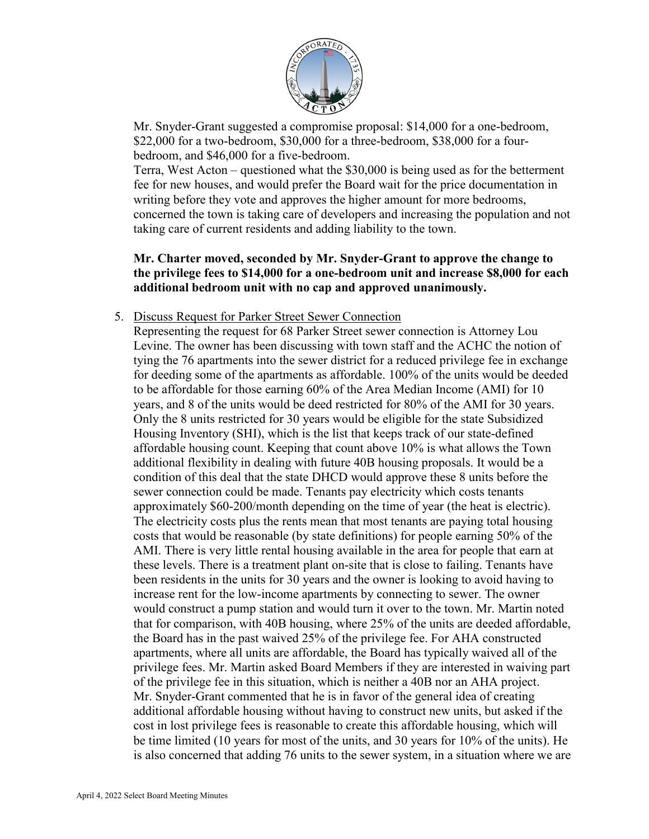

Mr. Snyder-Grant suggested a compromise proposal: \$14,000 for a one-bedroom, \$22,000 for a two-bedroom, \$30,000 for a three-bedroom, \$38,000 for a fourbedroom, and \$46,000 for a five-bedroom.

Terra, West Acton – questioned what the \$30,000 is being used as for the betterment fee for new houses, and would prefer the Board wait for the price documentation in writing before they vote and approves the higher amount for more bedrooms, concerned the town is taking care of developers and increasing the population and not taking care of current residents and adding liability to the town.

# **Mr. Charter moved, seconded by Mr. Snyder-Grant to approve the change to the privilege fees to \$14,000 for a one-bedroom unit and increase \$8,000 for each additional bedroom unit with no cap and approved unanimously.**

5. Discuss Request for Parker Street Sewer Connection

Representing the request for 68 Parker Street sewer connection is Attorney Lou Levine. The owner has been discussing with town staff and the ACHC the notion of tying the 76 apartments into the sewer district for a reduced privilege fee in exchange for deeding some of the apartments as affordable. 100% of the units would be deeded to be affordable for those earning 60% of the Area Median Income (AMI) for 10 years, and 8 of the units would be deed restricted for 80% of the AMI for 30 years. Only the 8 units restricted for 30 years would be eligible for the state Subsidized Housing Inventory (SHI), which is the list that keeps track of our state-defined affordable housing count. Keeping that count above 10% is what allows the Town additional flexibility in dealing with future 40B housing proposals. It would be a condition of this deal that the state DHCD would approve these 8 units before the sewer connection could be made. Tenants pay electricity which costs tenants approximately \$60-200/month depending on the time of year (the heat is electric). The electricity costs plus the rents mean that most tenants are paying total housing costs that would be reasonable (by state definitions) for people earning 50% of the AMI. There is very little rental housing available in the area for people that earn at these levels. There is a treatment plant on-site that is close to failing. Tenants have been residents in the units for 30 years and the owner is looking to avoid having to increase rent for the low-income apartments by connecting to sewer. The owner would construct a pump station and would turn it over to the town. Mr. Martin noted that for comparison, with 40B housing, where 25% of the units are deeded affordable, the Board has in the past waived 25% of the privilege fee. For AHA constructed apartments, where all units are affordable, the Board has typically waived all of the privilege fees. Mr. Martin asked Board Members if they are interested in waiving part of the privilege fee in this situation, which is neither a 40B nor an AHA project. Mr. Snyder-Grant commented that he is in favor of the general idea of creating additional affordable housing without having to construct new units, but asked if the cost in lost privilege fees is reasonable to create this affordable housing, which will be time limited (10 years for most of the units, and 30 years for 10% of the units). He is also concerned that adding 76 units to the sewer system, in a situation where we are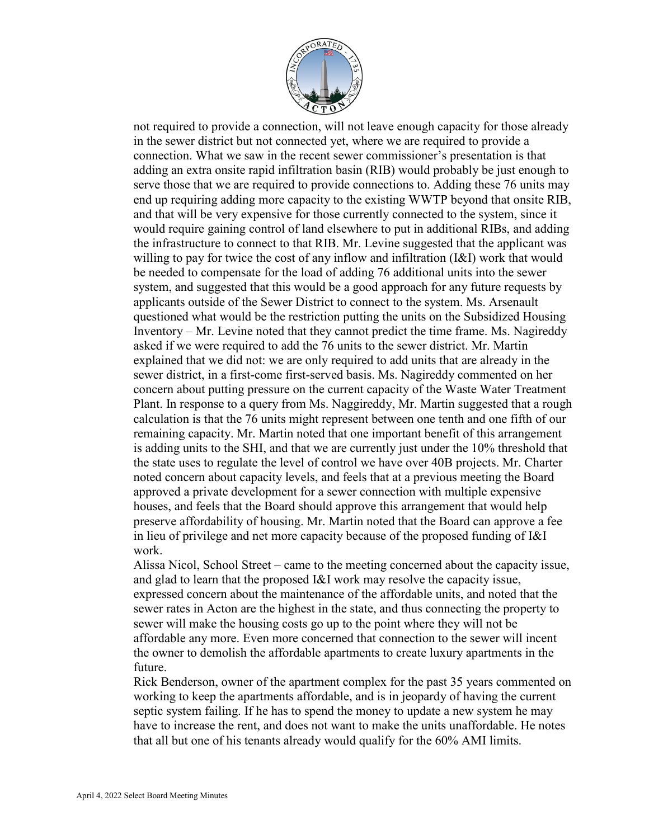

not required to provide a connection, will not leave enough capacity for those already in the sewer district but not connected yet, where we are required to provide a connection. What we saw in the recent sewer commissioner's presentation is that adding an extra onsite rapid infiltration basin (RIB) would probably be just enough to serve those that we are required to provide connections to. Adding these 76 units may end up requiring adding more capacity to the existing WWTP beyond that onsite RIB, and that will be very expensive for those currently connected to the system, since it would require gaining control of land elsewhere to put in additional RIBs, and adding the infrastructure to connect to that RIB. Mr. Levine suggested that the applicant was willing to pay for twice the cost of any inflow and infiltration (I&I) work that would be needed to compensate for the load of adding 76 additional units into the sewer system, and suggested that this would be a good approach for any future requests by applicants outside of the Sewer District to connect to the system. Ms. Arsenault questioned what would be the restriction putting the units on the Subsidized Housing Inventory – Mr. Levine noted that they cannot predict the time frame. Ms. Nagireddy asked if we were required to add the 76 units to the sewer district. Mr. Martin explained that we did not: we are only required to add units that are already in the sewer district, in a first-come first-served basis. Ms. Nagireddy commented on her concern about putting pressure on the current capacity of the Waste Water Treatment Plant. In response to a query from Ms. Naggireddy, Mr. Martin suggested that a rough calculation is that the 76 units might represent between one tenth and one fifth of our remaining capacity. Mr. Martin noted that one important benefit of this arrangement is adding units to the SHI, and that we are currently just under the 10% threshold that the state uses to regulate the level of control we have over 40B projects. Mr. Charter noted concern about capacity levels, and feels that at a previous meeting the Board approved a private development for a sewer connection with multiple expensive houses, and feels that the Board should approve this arrangement that would help preserve affordability of housing. Mr. Martin noted that the Board can approve a fee in lieu of privilege and net more capacity because of the proposed funding of I&I work.

Alissa Nicol, School Street – came to the meeting concerned about the capacity issue, and glad to learn that the proposed I&I work may resolve the capacity issue, expressed concern about the maintenance of the affordable units, and noted that the sewer rates in Acton are the highest in the state, and thus connecting the property to sewer will make the housing costs go up to the point where they will not be affordable any more. Even more concerned that connection to the sewer will incent the owner to demolish the affordable apartments to create luxury apartments in the future.

Rick Benderson, owner of the apartment complex for the past 35 years commented on working to keep the apartments affordable, and is in jeopardy of having the current septic system failing. If he has to spend the money to update a new system he may have to increase the rent, and does not want to make the units unaffordable. He notes that all but one of his tenants already would qualify for the 60% AMI limits.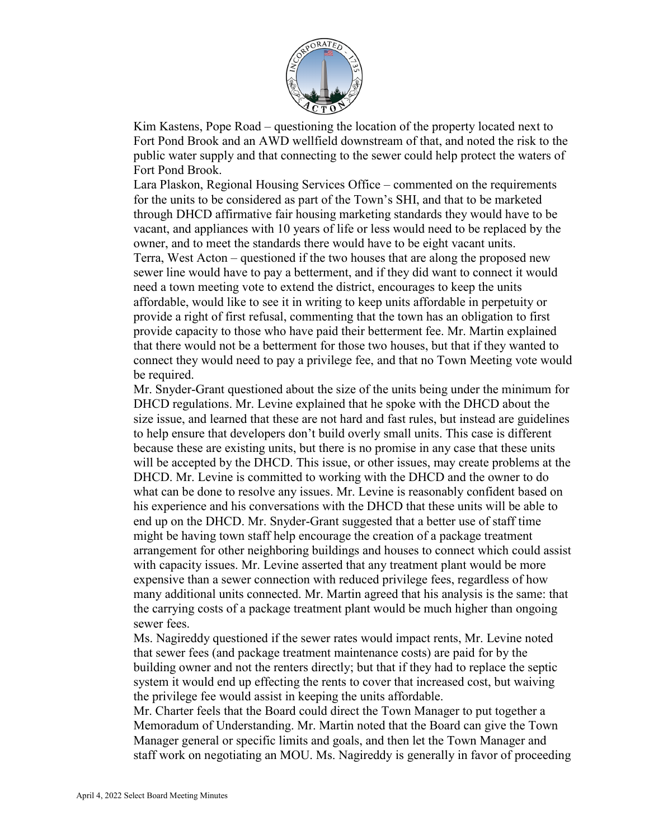

Kim Kastens, Pope Road – questioning the location of the property located next to Fort Pond Brook and an AWD wellfield downstream of that, and noted the risk to the public water supply and that connecting to the sewer could help protect the waters of Fort Pond Brook.

Lara Plaskon, Regional Housing Services Office – commented on the requirements for the units to be considered as part of the Town's SHI, and that to be marketed through DHCD affirmative fair housing marketing standards they would have to be vacant, and appliances with 10 years of life or less would need to be replaced by the owner, and to meet the standards there would have to be eight vacant units. Terra, West Acton – questioned if the two houses that are along the proposed new sewer line would have to pay a betterment, and if they did want to connect it would need a town meeting vote to extend the district, encourages to keep the units affordable, would like to see it in writing to keep units affordable in perpetuity or provide a right of first refusal, commenting that the town has an obligation to first provide capacity to those who have paid their betterment fee. Mr. Martin explained that there would not be a betterment for those two houses, but that if they wanted to connect they would need to pay a privilege fee, and that no Town Meeting vote would be required.

Mr. Snyder-Grant questioned about the size of the units being under the minimum for DHCD regulations. Mr. Levine explained that he spoke with the DHCD about the size issue, and learned that these are not hard and fast rules, but instead are guidelines to help ensure that developers don't build overly small units. This case is different because these are existing units, but there is no promise in any case that these units will be accepted by the DHCD. This issue, or other issues, may create problems at the DHCD. Mr. Levine is committed to working with the DHCD and the owner to do what can be done to resolve any issues. Mr. Levine is reasonably confident based on his experience and his conversations with the DHCD that these units will be able to end up on the DHCD. Mr. Snyder-Grant suggested that a better use of staff time might be having town staff help encourage the creation of a package treatment arrangement for other neighboring buildings and houses to connect which could assist with capacity issues. Mr. Levine asserted that any treatment plant would be more expensive than a sewer connection with reduced privilege fees, regardless of how many additional units connected. Mr. Martin agreed that his analysis is the same: that the carrying costs of a package treatment plant would be much higher than ongoing sewer fees.

Ms. Nagireddy questioned if the sewer rates would impact rents, Mr. Levine noted that sewer fees (and package treatment maintenance costs) are paid for by the building owner and not the renters directly; but that if they had to replace the septic system it would end up effecting the rents to cover that increased cost, but waiving the privilege fee would assist in keeping the units affordable.

Mr. Charter feels that the Board could direct the Town Manager to put together a Memoradum of Understanding. Mr. Martin noted that the Board can give the Town Manager general or specific limits and goals, and then let the Town Manager and staff work on negotiating an MOU. Ms. Nagireddy is generally in favor of proceeding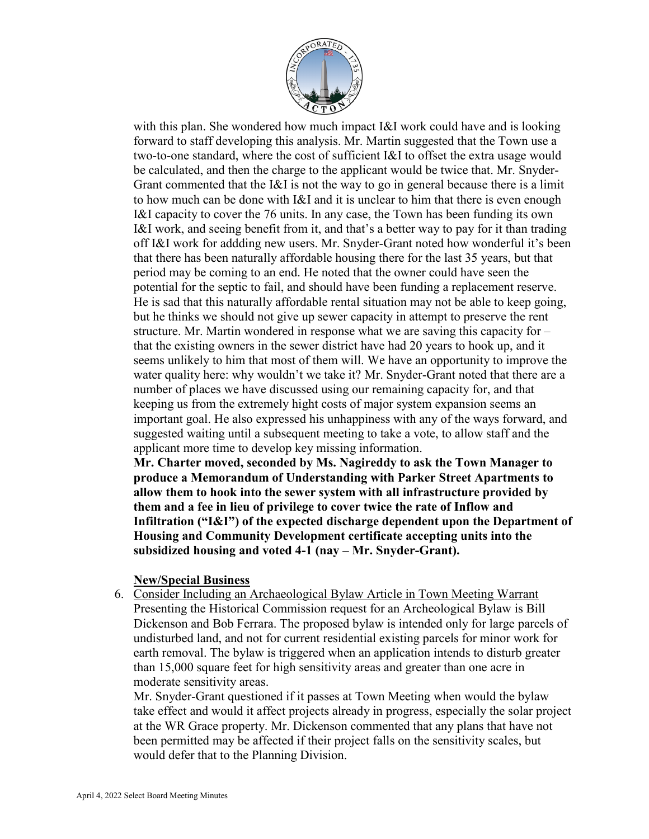

with this plan. She wondered how much impact I&I work could have and is looking forward to staff developing this analysis. Mr. Martin suggested that the Town use a two-to-one standard, where the cost of sufficient I&I to offset the extra usage would be calculated, and then the charge to the applicant would be twice that. Mr. Snyder-Grant commented that the I&I is not the way to go in general because there is a limit to how much can be done with I&I and it is unclear to him that there is even enough I&I capacity to cover the 76 units. In any case, the Town has been funding its own I&I work, and seeing benefit from it, and that's a better way to pay for it than trading off I&I work for addding new users. Mr. Snyder-Grant noted how wonderful it's been that there has been naturally affordable housing there for the last 35 years, but that period may be coming to an end. He noted that the owner could have seen the potential for the septic to fail, and should have been funding a replacement reserve. He is sad that this naturally affordable rental situation may not be able to keep going, but he thinks we should not give up sewer capacity in attempt to preserve the rent structure. Mr. Martin wondered in response what we are saving this capacity for – that the existing owners in the sewer district have had 20 years to hook up, and it seems unlikely to him that most of them will. We have an opportunity to improve the water quality here: why wouldn't we take it? Mr. Snyder-Grant noted that there are a number of places we have discussed using our remaining capacity for, and that keeping us from the extremely hight costs of major system expansion seems an important goal. He also expressed his unhappiness with any of the ways forward, and suggested waiting until a subsequent meeting to take a vote, to allow staff and the applicant more time to develop key missing information.

**Mr. Charter moved, seconded by Ms. Nagireddy to ask the Town Manager to produce a Memorandum of Understanding with Parker Street Apartments to allow them to hook into the sewer system with all infrastructure provided by them and a fee in lieu of privilege to cover twice the rate of Inflow and Infiltration ("I&I") of the expected discharge dependent upon the Department of Housing and Community Development certificate accepting units into the subsidized housing and voted 4-1 (nay – Mr. Snyder-Grant).**

#### **New/Special Business**

6. Consider Including an Archaeological Bylaw Article in Town Meeting Warrant Presenting the Historical Commission request for an Archeological Bylaw is Bill Dickenson and Bob Ferrara. The proposed bylaw is intended only for large parcels of undisturbed land, and not for current residential existing parcels for minor work for earth removal. The bylaw is triggered when an application intends to disturb greater than 15,000 square feet for high sensitivity areas and greater than one acre in moderate sensitivity areas.

Mr. Snyder-Grant questioned if it passes at Town Meeting when would the bylaw take effect and would it affect projects already in progress, especially the solar project at the WR Grace property. Mr. Dickenson commented that any plans that have not been permitted may be affected if their project falls on the sensitivity scales, but would defer that to the Planning Division.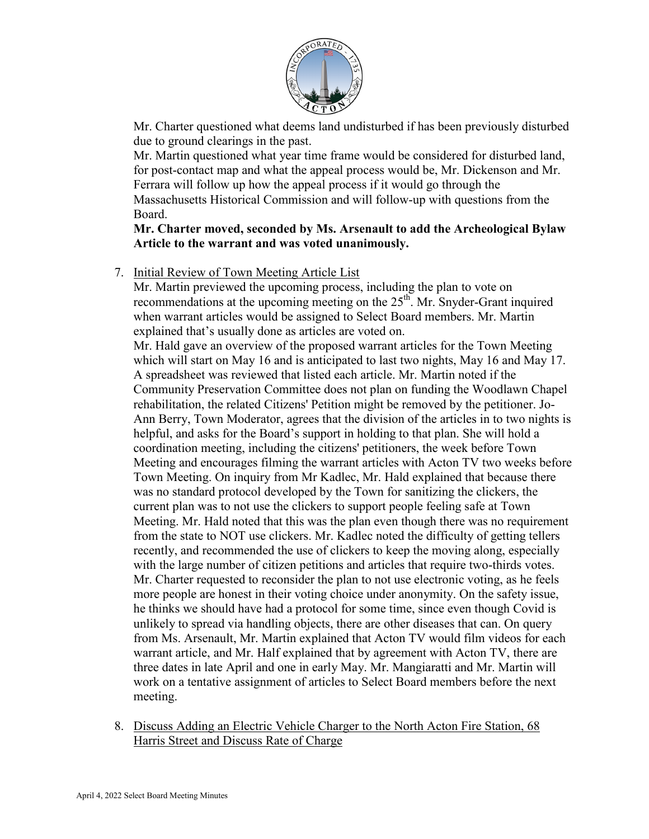

Mr. Charter questioned what deems land undisturbed if has been previously disturbed due to ground clearings in the past.

Mr. Martin questioned what year time frame would be considered for disturbed land, for post-contact map and what the appeal process would be, Mr. Dickenson and Mr. Ferrara will follow up how the appeal process if it would go through the Massachusetts Historical Commission and will follow-up with questions from the Board.

**Mr. Charter moved, seconded by Ms. Arsenault to add the Archeological Bylaw Article to the warrant and was voted unanimously.** 

## 7. Initial Review of Town Meeting Article List

Mr. Martin previewed the upcoming process, including the plan to vote on recommendations at the upcoming meeting on the 25<sup>th</sup>. Mr. Snyder-Grant inquired when warrant articles would be assigned to Select Board members. Mr. Martin explained that's usually done as articles are voted on.

Mr. Hald gave an overview of the proposed warrant articles for the Town Meeting which will start on May 16 and is anticipated to last two nights, May 16 and May 17. A spreadsheet was reviewed that listed each article. Mr. Martin noted if the Community Preservation Committee does not plan on funding the Woodlawn Chapel rehabilitation, the related Citizens' Petition might be removed by the petitioner. Jo-Ann Berry, Town Moderator, agrees that the division of the articles in to two nights is helpful, and asks for the Board's support in holding to that plan. She will hold a coordination meeting, including the citizens' petitioners, the week before Town Meeting and encourages filming the warrant articles with Acton TV two weeks before Town Meeting. On inquiry from Mr Kadlec, Mr. Hald explained that because there was no standard protocol developed by the Town for sanitizing the clickers, the current plan was to not use the clickers to support people feeling safe at Town Meeting. Mr. Hald noted that this was the plan even though there was no requirement from the state to NOT use clickers. Mr. Kadlec noted the difficulty of getting tellers recently, and recommended the use of clickers to keep the moving along, especially with the large number of citizen petitions and articles that require two-thirds votes. Mr. Charter requested to reconsider the plan to not use electronic voting, as he feels more people are honest in their voting choice under anonymity. On the safety issue, he thinks we should have had a protocol for some time, since even though Covid is unlikely to spread via handling objects, there are other diseases that can. On query from Ms. Arsenault, Mr. Martin explained that Acton TV would film videos for each warrant article, and Mr. Half explained that by agreement with Acton TV, there are three dates in late April and one in early May. Mr. Mangiaratti and Mr. Martin will work on a tentative assignment of articles to Select Board members before the next meeting.

8. Discuss Adding an Electric Vehicle Charger to the North Acton Fire Station, 68 Harris Street and Discuss Rate of Charge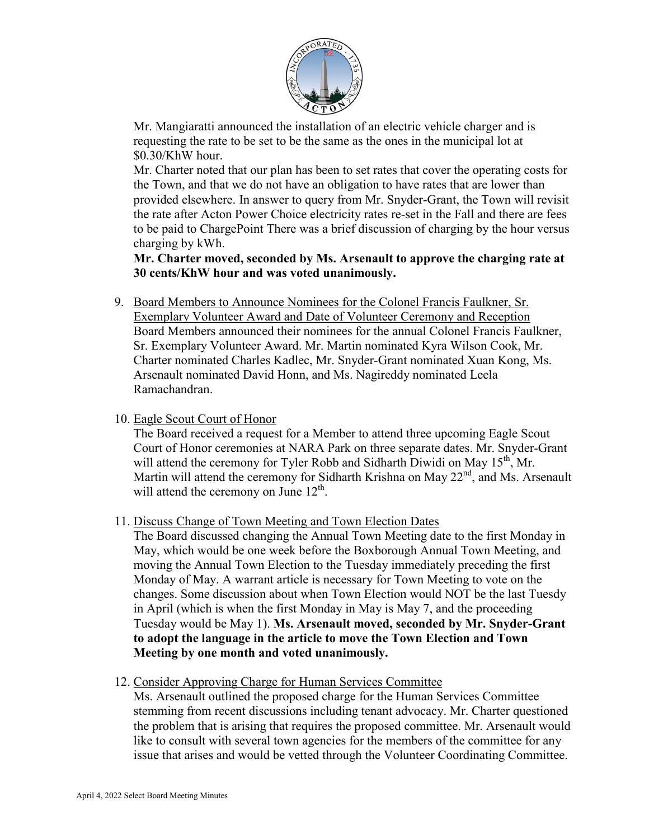

Mr. Mangiaratti announced the installation of an electric vehicle charger and is requesting the rate to be set to be the same as the ones in the municipal lot at \$0.30/KhW hour.

Mr. Charter noted that our plan has been to set rates that cover the operating costs for the Town, and that we do not have an obligation to have rates that are lower than provided elsewhere. In answer to query from Mr. Snyder-Grant, the Town will revisit the rate after Acton Power Choice electricity rates re-set in the Fall and there are fees to be paid to ChargePoint There was a brief discussion of charging by the hour versus charging by kWh.

**Mr. Charter moved, seconded by Ms. Arsenault to approve the charging rate at 30 cents/KhW hour and was voted unanimously.**

- 9. Board Members to Announce Nominees for the Colonel Francis Faulkner, Sr. Exemplary Volunteer Award and Date of Volunteer Ceremony and Reception Board Members announced their nominees for the annual Colonel Francis Faulkner, Sr. Exemplary Volunteer Award. Mr. Martin nominated Kyra Wilson Cook, Mr. Charter nominated Charles Kadlec, Mr. Snyder-Grant nominated Xuan Kong, Ms. Arsenault nominated David Honn, and Ms. Nagireddy nominated Leela Ramachandran.
- 10. Eagle Scout Court of Honor

The Board received a request for a Member to attend three upcoming Eagle Scout Court of Honor ceremonies at NARA Park on three separate dates. Mr. Snyder-Grant will attend the ceremony for Tyler Robb and Sidharth Diwidi on May  $15<sup>th</sup>$ , Mr. Martin will attend the ceremony for Sidharth Krishna on May  $22<sup>nd</sup>$ , and Ms. Arsenault will attend the ceremony on June  $12^{th}$ .

11. Discuss Change of Town Meeting and Town Election Dates

The Board discussed changing the Annual Town Meeting date to the first Monday in May, which would be one week before the Boxborough Annual Town Meeting, and moving the Annual Town Election to the Tuesday immediately preceding the first Monday of May. A warrant article is necessary for Town Meeting to vote on the changes. Some discussion about when Town Election would NOT be the last Tuesdy in April (which is when the first Monday in May is May 7, and the proceeding Tuesday would be May 1). **Ms. Arsenault moved, seconded by Mr. Snyder-Grant to adopt the language in the article to move the Town Election and Town Meeting by one month and voted unanimously.**

12. Consider Approving Charge for Human Services Committee

Ms. Arsenault outlined the proposed charge for the Human Services Committee stemming from recent discussions including tenant advocacy. Mr. Charter questioned the problem that is arising that requires the proposed committee. Mr. Arsenault would like to consult with several town agencies for the members of the committee for any issue that arises and would be vetted through the Volunteer Coordinating Committee.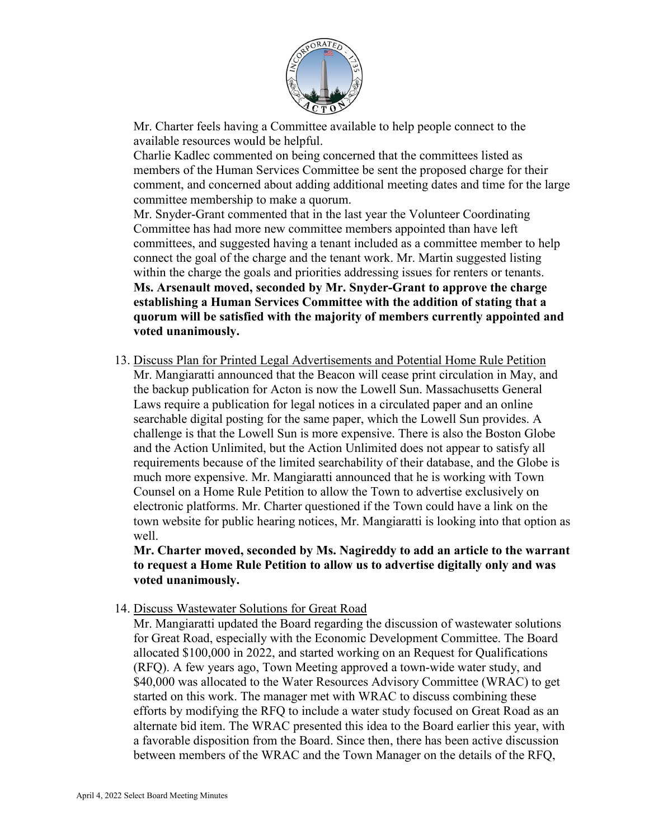

Mr. Charter feels having a Committee available to help people connect to the available resources would be helpful.

Charlie Kadlec commented on being concerned that the committees listed as members of the Human Services Committee be sent the proposed charge for their comment, and concerned about adding additional meeting dates and time for the large committee membership to make a quorum.

Mr. Snyder-Grant commented that in the last year the Volunteer Coordinating Committee has had more new committee members appointed than have left committees, and suggested having a tenant included as a committee member to help connect the goal of the charge and the tenant work. Mr. Martin suggested listing within the charge the goals and priorities addressing issues for renters or tenants. **Ms. Arsenault moved, seconded by Mr. Snyder-Grant to approve the charge establishing a Human Services Committee with the addition of stating that a quorum will be satisfied with the majority of members currently appointed and voted unanimously.** 

13. Discuss Plan for Printed Legal Advertisements and Potential Home Rule Petition Mr. Mangiaratti announced that the Beacon will cease print circulation in May, and the backup publication for Acton is now the Lowell Sun. Massachusetts General Laws require a publication for legal notices in a circulated paper and an online searchable digital posting for the same paper, which the Lowell Sun provides. A challenge is that the Lowell Sun is more expensive. There is also the Boston Globe and the Action Unlimited, but the Action Unlimited does not appear to satisfy all requirements because of the limited searchability of their database, and the Globe is much more expensive. Mr. Mangiaratti announced that he is working with Town Counsel on a Home Rule Petition to allow the Town to advertise exclusively on electronic platforms. Mr. Charter questioned if the Town could have a link on the town website for public hearing notices, Mr. Mangiaratti is looking into that option as well.

**Mr. Charter moved, seconded by Ms. Nagireddy to add an article to the warrant to request a Home Rule Petition to allow us to advertise digitally only and was voted unanimously.** 

14. Discuss Wastewater Solutions for Great Road

Mr. Mangiaratti updated the Board regarding the discussion of wastewater solutions for Great Road, especially with the Economic Development Committee. The Board allocated \$100,000 in 2022, and started working on an Request for Qualifications (RFQ). A few years ago, Town Meeting approved a town-wide water study, and \$40,000 was allocated to the Water Resources Advisory Committee (WRAC) to get started on this work. The manager met with WRAC to discuss combining these efforts by modifying the RFQ to include a water study focused on Great Road as an alternate bid item. The WRAC presented this idea to the Board earlier this year, with a favorable disposition from the Board. Since then, there has been active discussion between members of the WRAC and the Town Manager on the details of the RFQ,